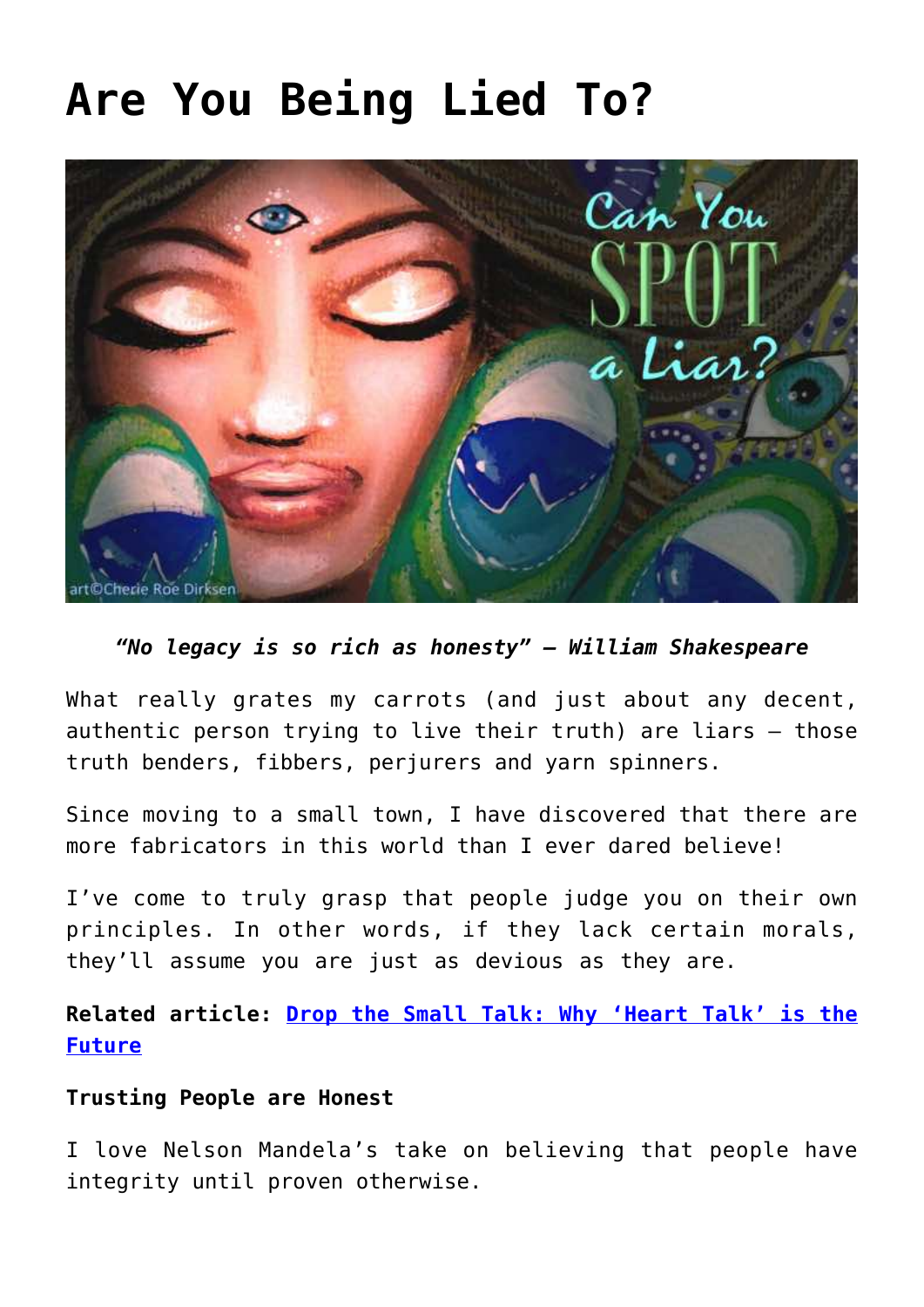# **[Are You Being Lied To?](https://consciouslifenews.com/are-you-being-lied-to/11115391/)**



# *"No legacy is so rich as honesty" — William Shakespeare*

What really grates my carrots (and just about any decent, authentic person trying to live their truth) are liars — those truth benders, fibbers, perjurers and yarn spinners.

Since moving to a small town, I have discovered that there are more fabricators in this world than I ever dared believe!

I've come to truly grasp that people judge you on their own principles. In other words, if they lack certain morals, they'll assume you are just as devious as they are.

**Related article: [Drop the Small Talk: Why 'Heart Talk' is the](https://consciouslifenews.com/heart-talk-future/1198487/) [Future](https://consciouslifenews.com/heart-talk-future/1198487/)**

## **Trusting People are Honest**

I love Nelson Mandela's take on believing that people have integrity until proven otherwise.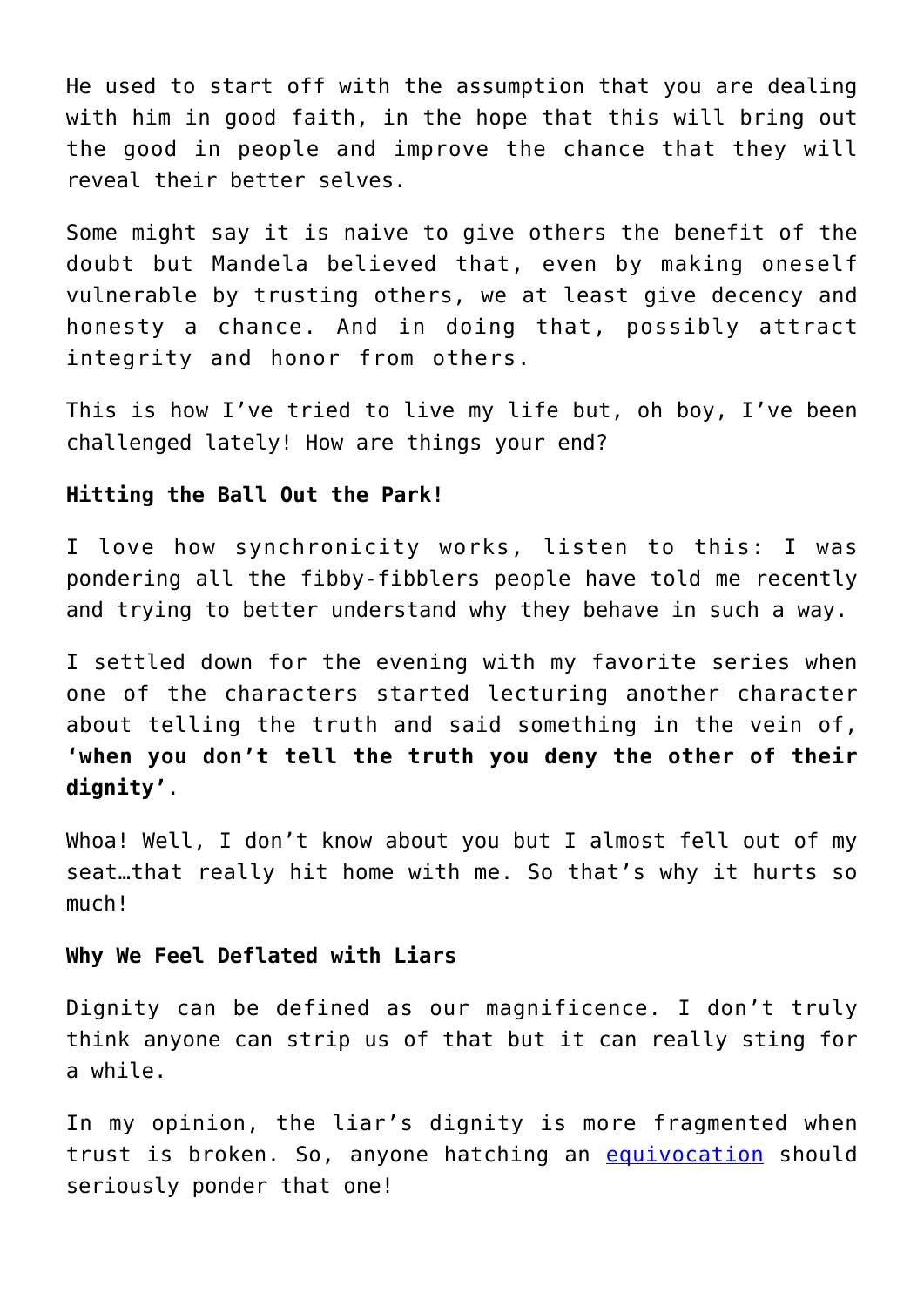He used to start off with the assumption that you are dealing with him in good faith, in the hope that this will bring out the good in people and improve the chance that they will reveal their better selves.

Some might say it is naive to give others the benefit of the doubt but Mandela believed that, even by making oneself vulnerable by trusting others, we at least give decency and honesty a chance. And in doing that, possibly attract integrity and honor from others.

This is how I've tried to live my life but, oh boy, I've been challenged lately! How are things your end?

#### **Hitting the Ball Out the Park!**

I love how synchronicity works, listen to this: I was pondering all the fibby-fibblers people have told me recently and trying to better understand why they behave in such a way.

I settled down for the evening with my favorite series when one of the characters started lecturing another character about telling the truth and said something in the vein of, **'when you don't tell the truth you deny the other of their dignity'**.

Whoa! Well, I don't know about you but I almost fell out of my seat…that really hit home with me. So that's why it hurts so much!

#### **Why We Feel Deflated with Liars**

Dignity can be defined as our magnificence. I don't truly think anyone can strip us of that but it can really sting for a while.

In my opinion, the liar's dignity is more fragmented when trust is broken. So, anyone hatching an [equivocation](https://www.dictionary.com/browse/equivocation) should seriously ponder that one!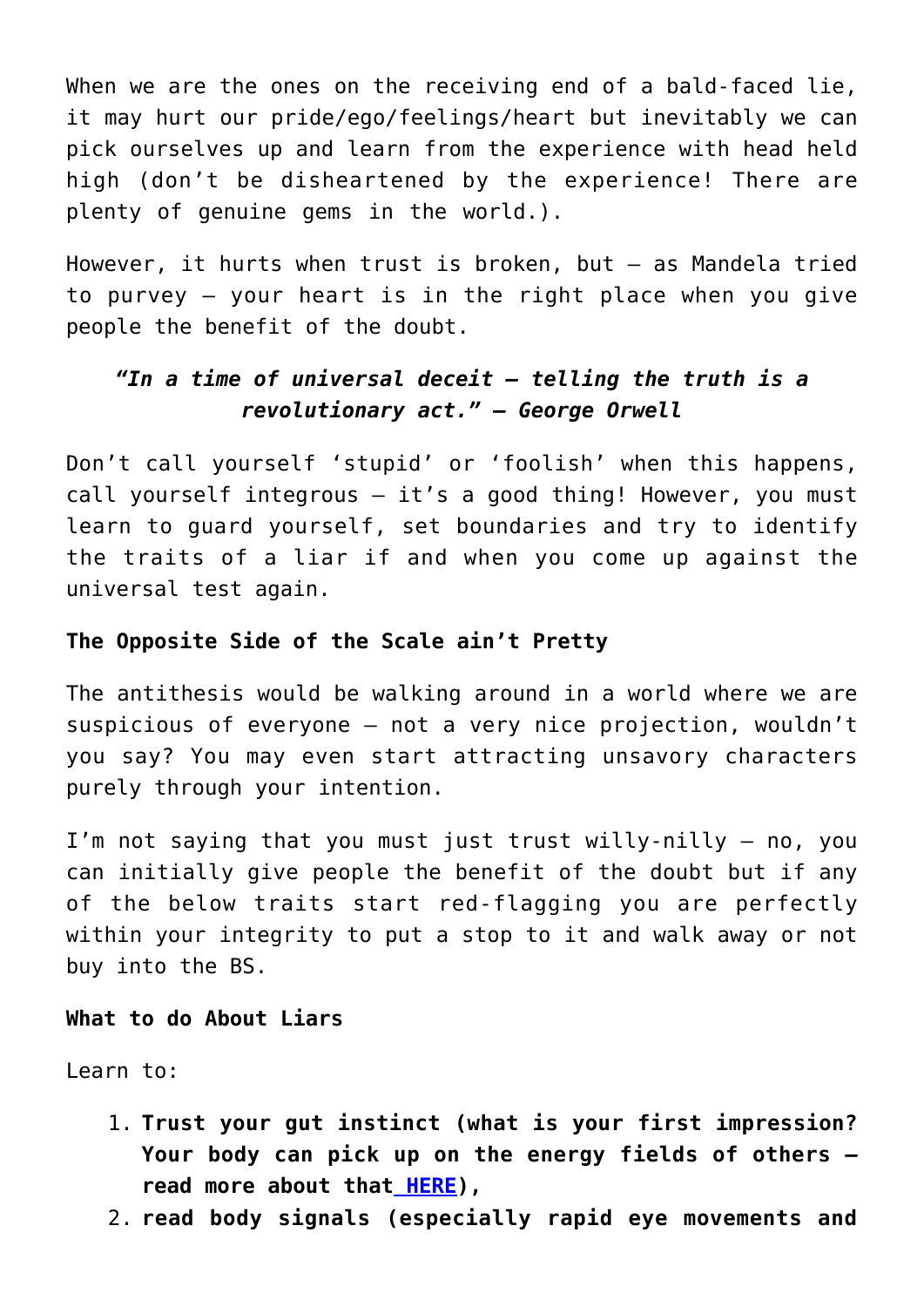When we are the ones on the receiving end of a bald-faced lie, it may hurt our pride/ego/feelings/heart but inevitably we can pick ourselves up and learn from the experience with head held high (don't be disheartened by the experience! There are plenty of genuine gems in the world.).

However, it hurts when trust is broken, but — as Mandela tried to purvey — your heart is in the right place when you give people the benefit of the doubt.

# *"In a time of universal deceit – telling the truth is a revolutionary act." — George Orwell*

Don't call yourself 'stupid' or 'foolish' when this happens, call yourself integrous — it's a good thing! However, you must learn to guard yourself, set boundaries and try to identify the traits of a liar if and when you come up against the universal test again.

# **The Opposite Side of the Scale ain't Pretty**

The antithesis would be walking around in a world where we are suspicious of everyone — not a very nice projection, wouldn't you say? You may even start attracting unsavory characters purely through your intention.

I'm not saying that you must just trust willy-nilly — no, you can initially give people the benefit of the doubt but if any of the below traits start red-flagging you are perfectly within your integrity to put a stop to it and walk away or not buy into the BS.

## **What to do About Liars**

Learn to:

- 1. **Trust your gut instinct (what is your first impression? Your body can pick up on the energy fields of others read more about that [HERE](https://consciouslifenews.com/physics-consciousness-health-relation-aura-energy-field/1132780/)),**
- 2. **read body signals (especially rapid eye movements and**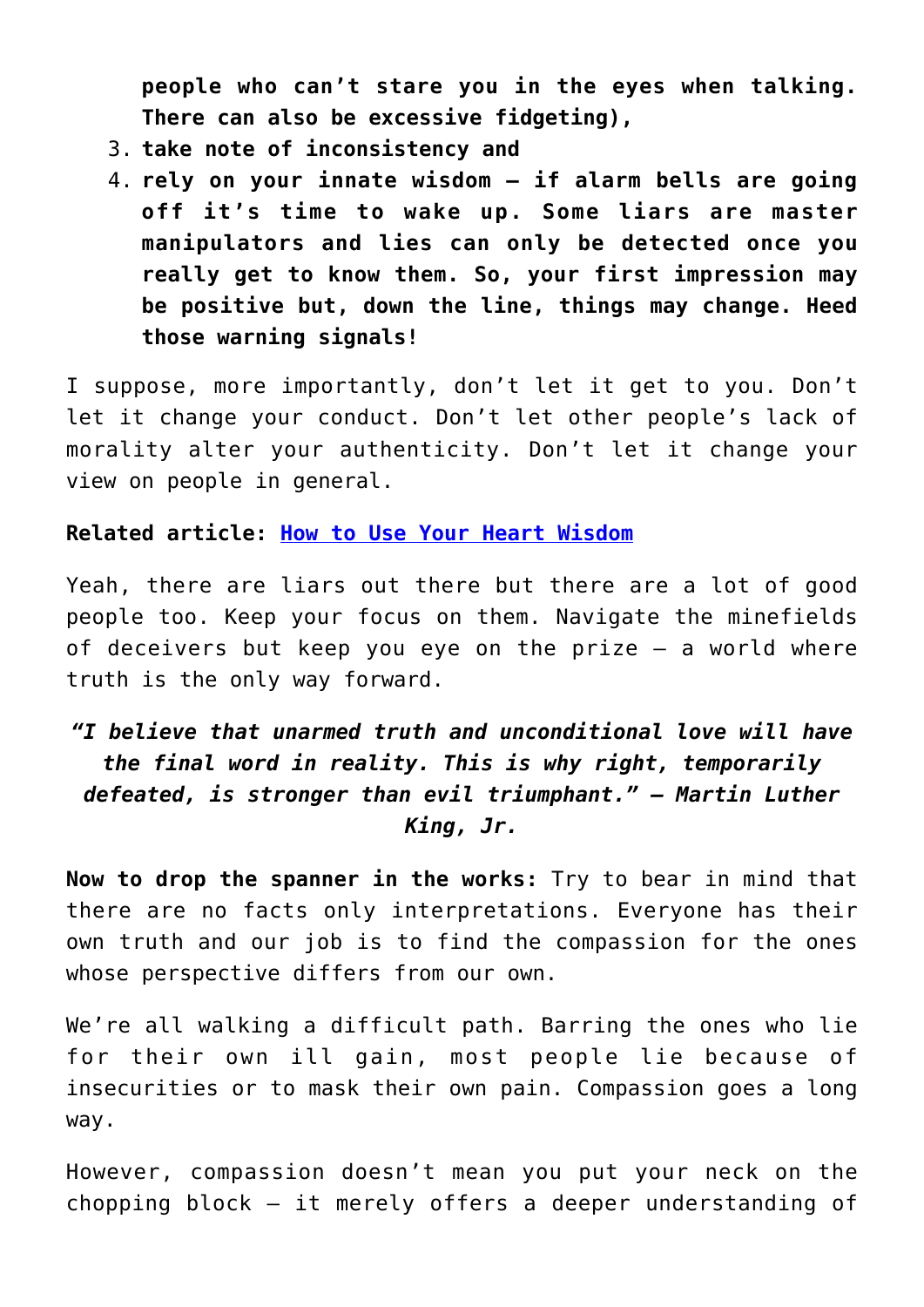**people who can't stare you in the eyes when talking. There can also be excessive fidgeting),**

- 3. **take note of inconsistency and**
- 4. **rely on your innate wisdom if alarm bells are going off it's time to wake up. Some liars are master manipulators and lies can only be detected once you really get to know them. So, your first impression may be positive but, down the line, things may change. Heed those warning signals!**

I suppose, more importantly, don't let it get to you. Don't let it change your conduct. Don't let other people's lack of morality alter your authenticity. Don't let it change your view on people in general.

## **Related article: [How to Use Your Heart Wisdom](https://consciouslifenews.com/heart-wisdom/1183646/)**

Yeah, there are liars out there but there are a lot of good people too. Keep your focus on them. Navigate the minefields of deceivers but keep you eye on the prize — a world where truth is the only way forward.

# *"I believe that unarmed truth and unconditional love will have the final word in reality. This is why right, temporarily defeated, is stronger than evil triumphant." — Martin Luther King, Jr.*

**Now to drop the spanner in the works:** Try to bear in mind that there are no facts only interpretations. Everyone has their own truth and our job is to find the compassion for the ones whose perspective differs from our own.

We're all walking a difficult path. Barring the ones who lie for their own ill gain, most people lie because of insecurities or to mask their own pain. Compassion goes a long way.

However, compassion doesn't mean you put your neck on the chopping block — it merely offers a deeper understanding of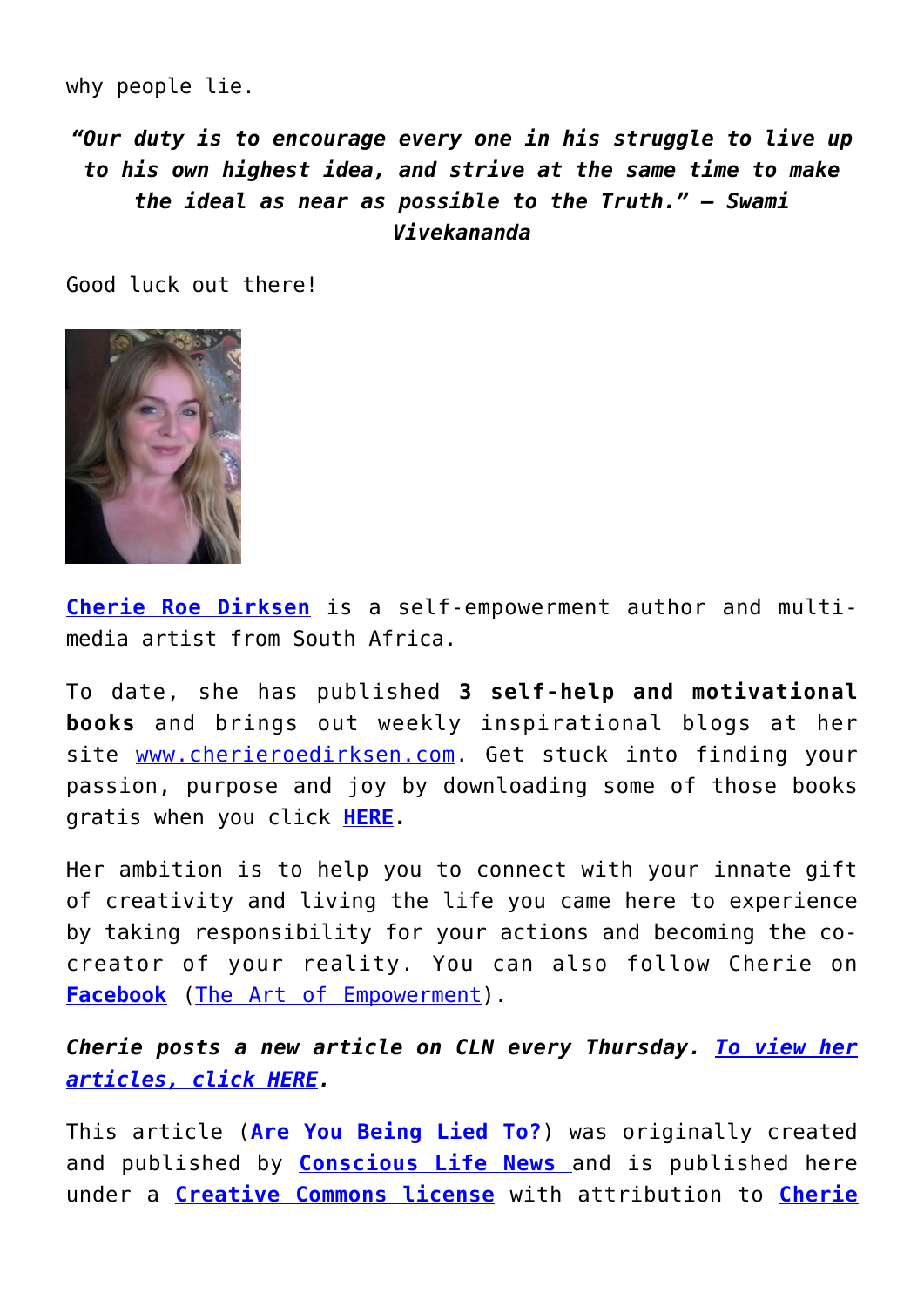why people lie.

*"Our duty is to encourage every one in his struggle to live up to his own highest idea, and strive at the same time to make the ideal as near as possible to the Truth." — Swami Vivekananda*

Good luck out there!



**[Cherie Roe Dirksen](https://www.cherieroedirksen.com/)** is a self-empowerment author and multimedia artist from South Africa.

To date, she has published **3 self-help and motivational books** and brings out weekly inspirational blogs at her site [www.cherieroedirksen.com.](https://www.cherieroedirksen.com/) Get stuck into finding your passion, purpose and joy by downloading some of those books gratis when you click **[HERE.](https://cherieroedirksen.us2.list-manage.com/subscribe?u=de82d88d55984d721f7479aef&id=f442a64e3d)**

Her ambition is to help you to connect with your innate gift of creativity and living the life you came here to experience by taking responsibility for your actions and becoming the cocreator of your reality. You can also follow Cherie on **[Facebook](https://www.facebook.com/pages/The-Art-of-Empowerment/109678451009)** ([The Art of Empowerment\)](https://www.facebook.com/The-Art-of-Empowerment-109678451009/).

*Cherie posts a new article on CLN every Thursday. [To view her](https://consciouslifenews.com/author/cherie/) [articles, click HERE](https://consciouslifenews.com/author/cherie/).*

This article (**[Are You Being Lied To?](https://consciouslifenews.com/are-you-being-lied-to/11115391/)**) was originally created and published by **[Conscious Life News](https://consciouslifenews.com/)** [a](https://consciouslifenews.com/)nd is published here under a **[Creative Commons license](https://creativecommons.org/licenses/by/4.0/)** with attribution to **[Cherie](https://www.cherieroedirksen.com)**